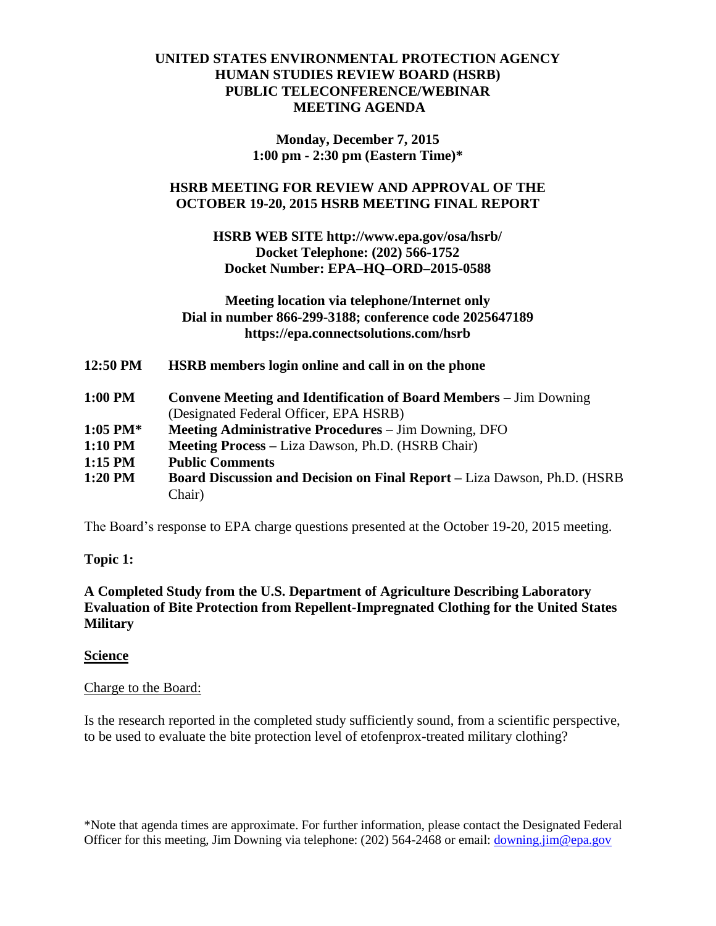### **UNITED STATES ENVIRONMENTAL PROTECTION AGENCY HUMAN STUDIES REVIEW BOARD (HSRB) PUBLIC TELECONFERENCE/WEBINAR MEETING AGENDA**

**Monday, December 7, 2015 1:00 pm - 2:30 pm (Eastern Time)\***

### **HSRB MEETING FOR REVIEW AND APPROVAL OF THE OCTOBER 19-20, 2015 HSRB MEETING FINAL REPORT**

### **HSRB WEB SITE http://www.epa.gov/osa/hsrb/ Docket Telephone: (202) 566-1752 Docket Number: EPA–HQ–ORD–2015-0588**

#### **Meeting location via telephone/Internet only Dial in number 866-299-3188; conference code 2025647189 https://epa.connectsolutions.com/hsrb**

**12:50 PM HSRB members login online and call in on the phone**

| 1:00 PM | <b>Convene Meeting and Identification of Board Members – Jim Downing</b> |
|---------|--------------------------------------------------------------------------|
|         | (Designated Federal Officer, EPA HSRB)                                   |
| ------- |                                                                          |

- **1:05 PM\* Meeting Administrative Procedures** Jim Downing, DFO
- **1:10 PM Meeting Process –** Liza Dawson, Ph.D. (HSRB Chair)

**1:15 PM Public Comments**

**1:20 PM Board Discussion and Decision on Final Report –** Liza Dawson, Ph.D. (HSRB Chair)

The Board's response to EPA charge questions presented at the October 19-20, 2015 meeting.

# **Topic 1:**

**A Completed Study from the U.S. Department of Agriculture Describing Laboratory Evaluation of Bite Protection from Repellent-Impregnated Clothing for the United States Military**

#### **Science**

#### Charge to the Board:

Is the research reported in the completed study sufficiently sound, from a scientific perspective, to be used to evaluate the bite protection level of etofenprox-treated military clothing?

\*Note that agenda times are approximate. For further information, please contact the Designated Federal Officer for this meeting, Jim Downing via telephone: (202) 564-2468 or email: [downing.jim@epa.gov](mailto:downing.jim@epa.gov)